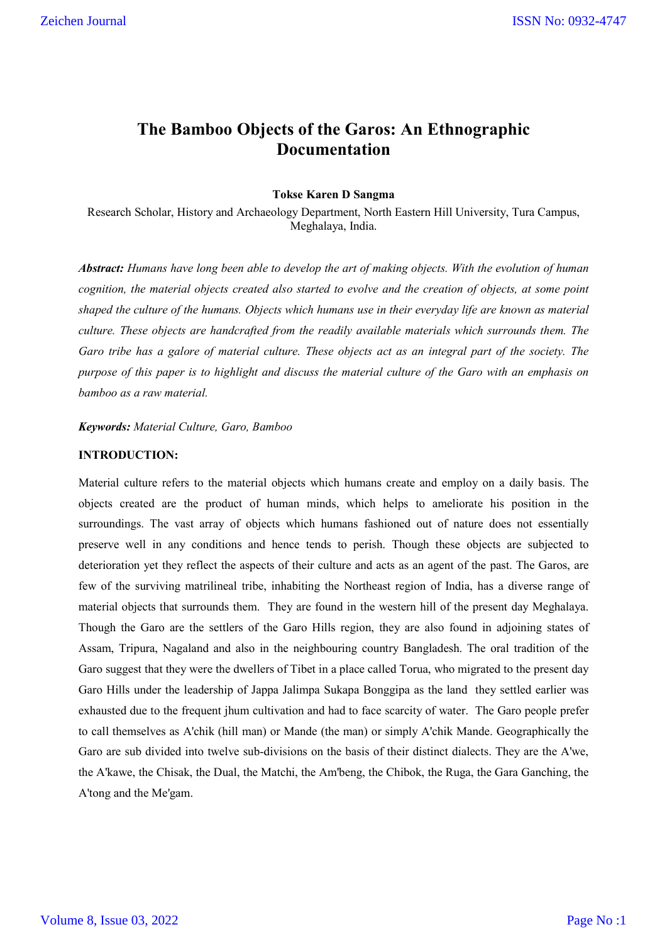# **The Bamboo Objects of the Garos: An Ethnographic Documentation**

# **Tokse Karen D Sangma**

Research Scholar, History and Archaeology Department, North Eastern Hill University, Tura Campus, Meghalaya, India.

*Abstract: Humans have long been able to develop the art of making objects. With the evolution of human cognition, the material objects created also started to evolve and the creation of objects, at some point shaped the culture of the humans. Objects which humans use in their everyday life are known as material culture. These objects are handcrafted from the readily available materials which surrounds them. The Garo tribe has a galore of material culture. These objects act as an integral part of the society. The purpose of this paper is to highlight and discuss the material culture of the Garo with an emphasis on bamboo as a raw material.*

### *Keywords: Material Culture, Garo, Bamboo*

# **INTRODUCTION:**

Material culture refers to the material objects which humans create and employ on a daily basis. The objects created are the product of human minds, which helps to ameliorate his position in the surroundings. The vast array of objects which humans fashioned out of nature does not essentially preserve well in any conditions and hence tends to perish. Though these objects are subjected to deterioration yet they reflect the aspects of their culture and acts as an agent of the past. The Garos, are few of the surviving matrilineal tribe, inhabiting the Northeast region of India, has a diverse range of material objects that surrounds them. They are found in the western hill of the present day Meghalaya. Though the Garo are the settlers of the Garo Hills region, they are also found in adjoining states of Assam, Tripura, Nagaland and also in the neighbouring country Bangladesh. The oral tradition of the Garo suggest that they were the dwellers of Tibet in a place called Torua, who migrated to the present day Garo Hills under the leadership of Jappa Jalimpa Sukapa Bonggipa as the land they settled earlier was exhausted due to the frequent jhum cultivation and had to face scarcity of water. The Garo people prefer to call themselves as A'chik (hill man) or Mande (the man) or simply A'chik Mande. Geographically the Garo are sub divided into twelve sub-divisions on the basis of their distinct dialects. They are the A'we, the A'kawe, the Chisak, the Dual, the Matchi, the Am'beng, the Chibok, the Ruga, the Gara Ganching, the A'tong and the Me'gam.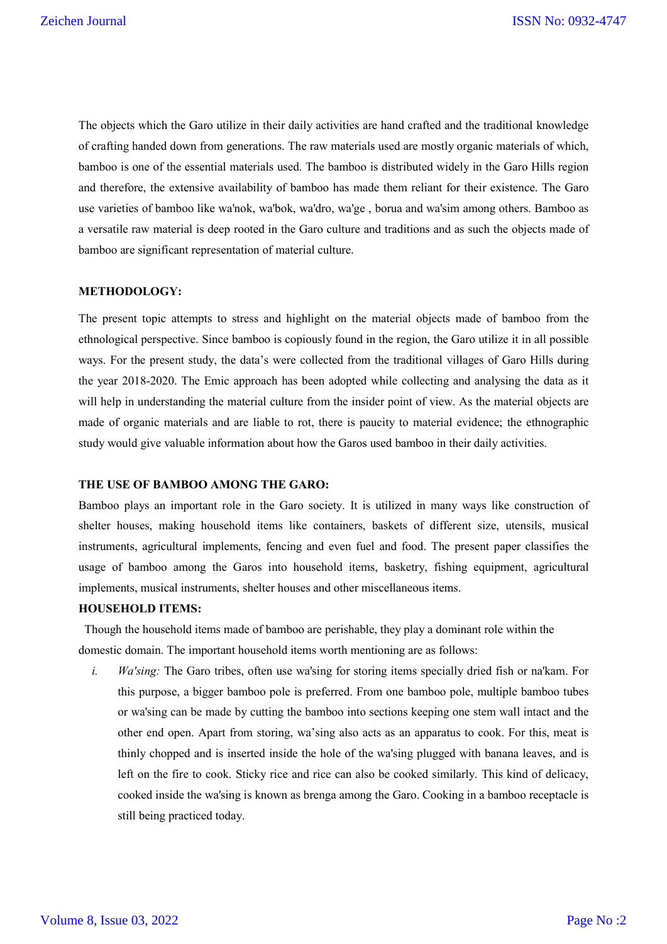The objects which the Garo utilize in their daily activities are hand crafted and the traditional knowledge of crafting handed down from generations. The raw materials used are mostly organic materials of which, bamboo is one of the essential materials used. The bamboo is distributed widely in the Garo Hills region and therefore, the extensive availability of bamboo has made them reliant for their existence. The Garo use varieties of bamboo like wa'nok, wa'bok, wa'dro, wa'ge , borua and wa'sim among others. Bamboo as a versatile raw material is deep rooted in the Garo culture and traditions and as such the objects made of bamboo are significant representation of material culture.

### **METHODOLOGY:**

The present topic attempts to stress and highlight on the material objects made of bamboo from the ethnological perspective. Since bamboo is copiously found in the region, the Garo utilize it in all possible ways. For the present study, the data's were collected from the traditional villages of Garo Hills during the year 2018-2020. The Emic approach has been adopted while collecting and analysing the data as it will help in understanding the material culture from the insider point of view. As the material objects are made of organic materials and are liable to rot, there is paucity to material evidence; the ethnographic study would give valuable information about how the Garos used bamboo in their daily activities.

### **THE USE OF BAMBOO AMONG THE GARO:**

Bamboo plays an important role in the Garo society. It is utilized in many ways like construction of shelter houses, making household items like containers, baskets of different size, utensils, musical instruments, agricultural implements, fencing and even fuel and food. The present paper classifies the usage of bamboo among the Garos into household items, basketry, fishing equipment, agricultural implements, musical instruments, shelter houses and other miscellaneous items.

# **HOUSEHOLD ITEMS:**

 Though the household items made of bamboo are perishable, they play a dominant role within the domestic domain. The important household items worth mentioning are as follows:

*i. Wa'sing:* The Garo tribes, often use wa'sing for storing items specially dried fish or na'kam. For this purpose, a bigger bamboo pole is preferred. From one bamboo pole, multiple bamboo tubes or wa'sing can be made by cutting the bamboo into sections keeping one stem wall intact and the other end open. Apart from storing, wa'sing also acts as an apparatus to cook. For this, meat is thinly chopped and is inserted inside the hole of the wa'sing plugged with banana leaves, and is left on the fire to cook. Sticky rice and rice can also be cooked similarly. This kind of delicacy, cooked inside the wa'sing is known as brenga among the Garo. Cooking in a bamboo receptacle is still being practiced today.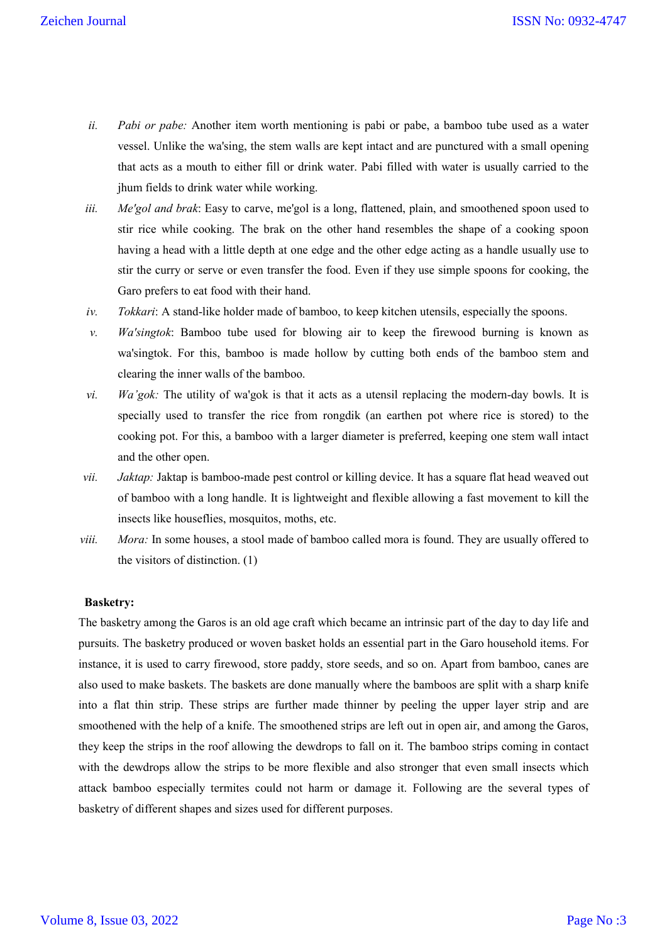- *ii. Pabi or pabe:* Another item worth mentioning is pabi or pabe, a bamboo tube used as a water vessel. Unlike the wa'sing, the stem walls are kept intact and are punctured with a small opening that acts as a mouth to either fill or drink water. Pabi filled with water is usually carried to the jhum fields to drink water while working.
- *iii. Me'gol and brak*: Easy to carve, me'gol is a long, flattened, plain, and smoothened spoon used to stir rice while cooking. The brak on the other hand resembles the shape of a cooking spoon having a head with a little depth at one edge and the other edge acting as a handle usually use to stir the curry or serve or even transfer the food. Even if they use simple spoons for cooking, the Garo prefers to eat food with their hand.
- *iv. Tokkari*: A stand-like holder made of bamboo, to keep kitchen utensils, especially the spoons.
- *v. Wa'singtok*: Bamboo tube used for blowing air to keep the firewood burning is known as wa'singtok. For this, bamboo is made hollow by cutting both ends of the bamboo stem and clearing the inner walls of the bamboo.
- *vi. Wa'gok:* The utility of wa'gok is that it acts as a utensil replacing the modern-day bowls. It is specially used to transfer the rice from rongdik (an earthen pot where rice is stored) to the cooking pot. For this, a bamboo with a larger diameter is preferred, keeping one stem wall intact and the other open.
- *vii. Jaktap:* Jaktap is bamboo-made pest control or killing device. It has a square flat head weaved out of bamboo with a long handle. It is lightweight and flexible allowing a fast movement to kill the insects like houseflies, mosquitos, moths, etc.
- *viii. Mora:* In some houses, a stool made of bamboo called mora is found. They are usually offered to the visitors of distinction. (1)

### **Basketry:**

The basketry among the Garos is an old age craft which became an intrinsic part of the day to day life and pursuits. The basketry produced or woven basket holds an essential part in the Garo household items. For instance, it is used to carry firewood, store paddy, store seeds, and so on. Apart from bamboo, canes are also used to make baskets. The baskets are done manually where the bamboos are split with a sharp knife into a flat thin strip. These strips are further made thinner by peeling the upper layer strip and are smoothened with the help of a knife. The smoothened strips are left out in open air, and among the Garos, they keep the strips in the roof allowing the dewdrops to fall on it. The bamboo strips coming in contact with the dewdrops allow the strips to be more flexible and also stronger that even small insects which attack bamboo especially termites could not harm or damage it. Following are the several types of basketry of different shapes and sizes used for different purposes.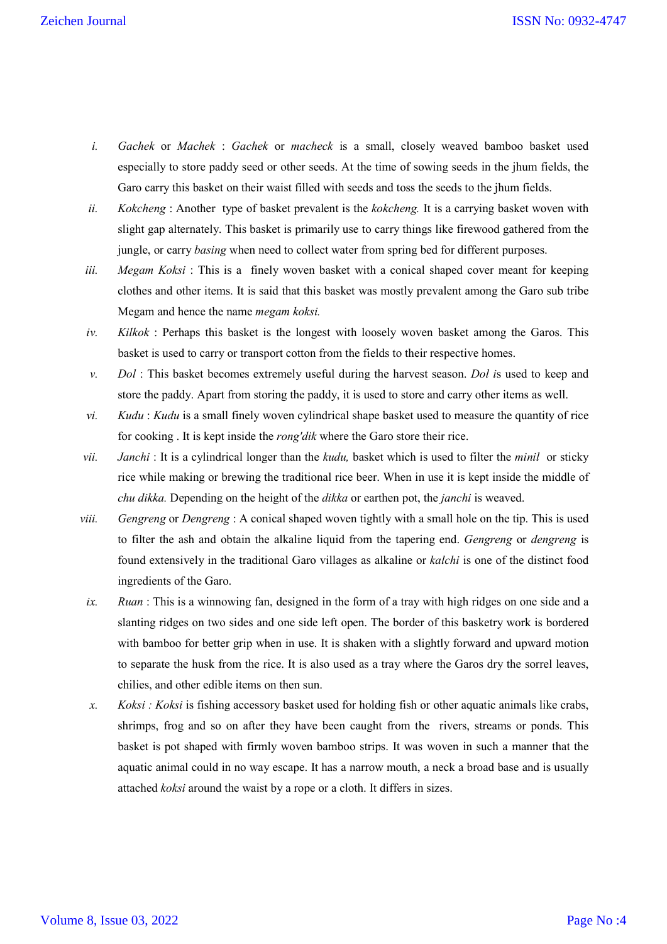- *i. Gachek* or *Machek* : *Gachek* or *macheck* is a small, closely weaved bamboo basket used especially to store paddy seed or other seeds. At the time of sowing seeds in the jhum fields, the Garo carry this basket on their waist filled with seeds and toss the seeds to the jhum fields.
- *ii. Kokcheng* : Another type of basket prevalent is the *kokcheng.* It is a carrying basket woven with slight gap alternately. This basket is primarily use to carry things like firewood gathered from the jungle, or carry *basing* when need to collect water from spring bed for different purposes.
- *iii. Megam Koksi*: This is a finely woven basket with a conical shaped cover meant for keeping clothes and other items. It is said that this basket was mostly prevalent among the Garo sub tribe Megam and hence the name *megam koksi.*
- *iv. Kilkok* : Perhaps this basket is the longest with loosely woven basket among the Garos. This basket is used to carry or transport cotton from the fields to their respective homes.
- *v. Dol* : This basket becomes extremely useful during the harvest season. *Dol i*s used to keep and store the paddy. Apart from storing the paddy, it is used to store and carry other items as well.
- *vi. Kudu* : *Kudu* is a small finely woven cylindrical shape basket used to measure the quantity of rice for cooking . It is kept inside the *rong'dik* where the Garo store their rice.
- *vii. Janchi* : It is a cylindrical longer than the *kudu,* basket which is used to filter the *minil* or sticky rice while making or brewing the traditional rice beer. When in use it is kept inside the middle of *chu dikka.* Depending on the height of the *dikka* or earthen pot, the *janchi* is weaved.
- *viii. Gengreng* or *Dengreng* : A conical shaped woven tightly with a small hole on the tip. This is used to filter the ash and obtain the alkaline liquid from the tapering end. *Gengreng* or *dengreng* is found extensively in the traditional Garo villages as alkaline or *kalchi* is one of the distinct food ingredients of the Garo.
- *ix. Ruan* : This is a winnowing fan, designed in the form of a tray with high ridges on one side and a slanting ridges on two sides and one side left open. The border of this basketry work is bordered with bamboo for better grip when in use. It is shaken with a slightly forward and upward motion to separate the husk from the rice. It is also used as a tray where the Garos dry the sorrel leaves, chilies, and other edible items on then sun.
- *x. Koksi : Koksi* is fishing accessory basket used for holding fish or other aquatic animals like crabs, shrimps, frog and so on after they have been caught from the rivers, streams or ponds. This basket is pot shaped with firmly woven bamboo strips. It was woven in such a manner that the aquatic animal could in no way escape. It has a narrow mouth, a neck a broad base and is usually attached *koksi* around the waist by a rope or a cloth. It differs in sizes.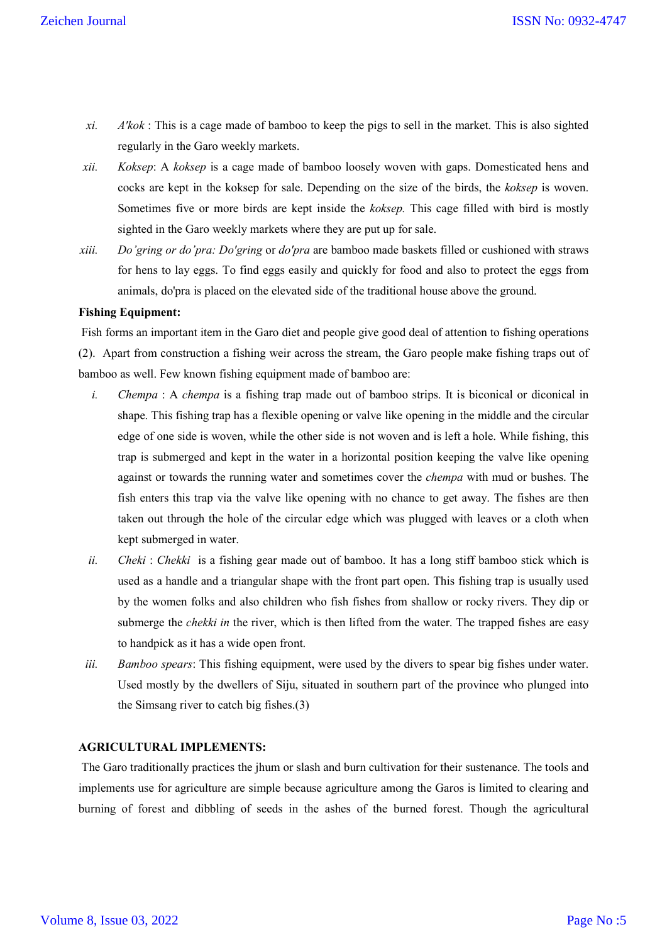- *xi. A'kok* : This is a cage made of bamboo to keep the pigs to sell in the market. This is also sighted regularly in the Garo weekly markets.
- *xii. Koksep*: A *koksep* is a cage made of bamboo loosely woven with gaps. Domesticated hens and cocks are kept in the koksep for sale. Depending on the size of the birds, the *koksep* is woven. Sometimes five or more birds are kept inside the *koksep.* This cage filled with bird is mostly sighted in the Garo weekly markets where they are put up for sale.
- *xiii. Do'gring or do'pra: Do'gring* or *do'pra* are bamboo made baskets filled or cushioned with straws for hens to lay eggs. To find eggs easily and quickly for food and also to protect the eggs from animals, do'pra is placed on the elevated side of the traditional house above the ground.

# **Fishing Equipment:**

Fish forms an important item in the Garo diet and people give good deal of attention to fishing operations (2). Apart from construction a fishing weir across the stream, the Garo people make fishing traps out of bamboo as well. Few known fishing equipment made of bamboo are:

- *i. Chempa* : A *chempa* is a fishing trap made out of bamboo strips. It is biconical or diconical in shape. This fishing trap has a flexible opening or valve like opening in the middle and the circular edge of one side is woven, while the other side is not woven and is left a hole. While fishing, this trap is submerged and kept in the water in a horizontal position keeping the valve like opening against or towards the running water and sometimes cover the *chempa* with mud or bushes. The fish enters this trap via the valve like opening with no chance to get away. The fishes are then taken out through the hole of the circular edge which was plugged with leaves or a cloth when kept submerged in water.
- *ii. Cheki: Chekki* is a fishing gear made out of bamboo. It has a long stiff bamboo stick which is used as a handle and a triangular shape with the front part open. This fishing trap is usually used by the women folks and also children who fish fishes from shallow or rocky rivers. They dip or submerge the *chekki in* the river, which is then lifted from the water. The trapped fishes are easy to handpick as it has a wide open front.
- *iii. Bamboo spears*: This fishing equipment, were used by the divers to spear big fishes under water. Used mostly by the dwellers of Siju, situated in southern part of the province who plunged into the Simsang river to catch big fishes.(3)

# **AGRICULTURAL IMPLEMENTS:**

The Garo traditionally practices the jhum or slash and burn cultivation for their sustenance. The tools and implements use for agriculture are simple because agriculture among the Garos is limited to clearing and burning of forest and dibbling of seeds in the ashes of the burned forest. Though the agricultural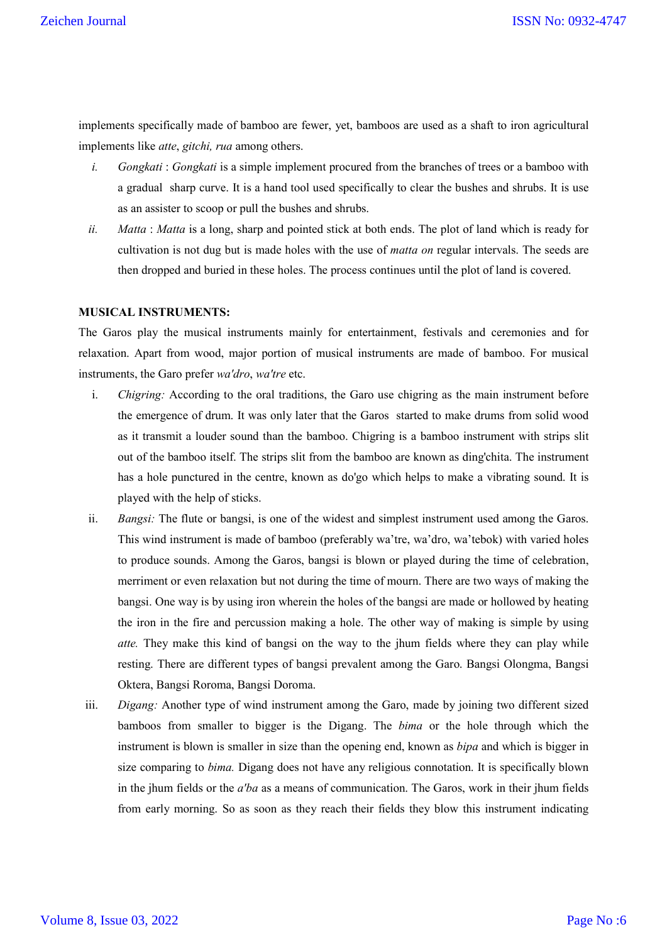implements specifically made of bamboo are fewer, yet, bamboos are used as a shaft to iron agricultural implements like *atte*, *gitchi, rua* among others.

- *i. Gongkati* : *Gongkati* is a simple implement procured from the branches of trees or a bamboo with a gradual sharp curve. It is a hand tool used specifically to clear the bushes and shrubs. It is use as an assister to scoop or pull the bushes and shrubs.
- *ii. Matta* : *Matta* is a long, sharp and pointed stick at both ends. The plot of land which is ready for cultivation is not dug but is made holes with the use of *matta on* regular intervals. The seeds are then dropped and buried in these holes. The process continues until the plot of land is covered.

### **MUSICAL INSTRUMENTS:**

The Garos play the musical instruments mainly for entertainment, festivals and ceremonies and for relaxation. Apart from wood, major portion of musical instruments are made of bamboo. For musical instruments, the Garo prefer *wa'dro*, *wa'tre* etc.

- i. *Chigring:* According to the oral traditions, the Garo use chigring as the main instrument before the emergence of drum. It was only later that the Garos started to make drums from solid wood as it transmit a louder sound than the bamboo. Chigring is a bamboo instrument with strips slit out of the bamboo itself. The strips slit from the bamboo are known as ding'chita. The instrument has a hole punctured in the centre, known as do'go which helps to make a vibrating sound. It is played with the help of sticks.
- ii. *Bangsi:* The flute or bangsi, is one of the widest and simplest instrument used among the Garos. This wind instrument is made of bamboo (preferably wa'tre, wa'dro, wa'tebok) with varied holes to produce sounds. Among the Garos, bangsi is blown or played during the time of celebration, merriment or even relaxation but not during the time of mourn. There are two ways of making the bangsi. One way is by using iron wherein the holes of the bangsi are made or hollowed by heating the iron in the fire and percussion making a hole. The other way of making is simple by using *atte.* They make this kind of bangsi on the way to the jhum fields where they can play while resting. There are different types of bangsi prevalent among the Garo. Bangsi Olongma, Bangsi Oktera, Bangsi Roroma, Bangsi Doroma.
- iii. *Digang:* Another type of wind instrument among the Garo, made by joining two different sized bamboos from smaller to bigger is the Digang. The *bima* or the hole through which the instrument is blown is smaller in size than the opening end, known as *bipa* and which is bigger in size comparing to *bima.* Digang does not have any religious connotation. It is specifically blown in the jhum fields or the *a'ba* as a means of communication. The Garos, work in their jhum fields from early morning. So as soon as they reach their fields they blow this instrument indicating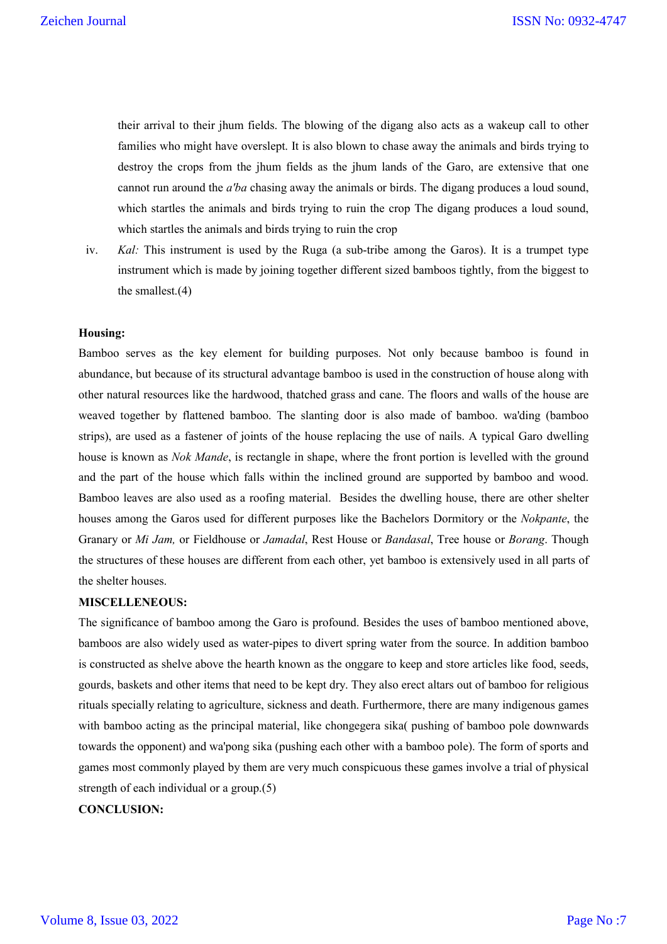their arrival to their jhum fields. The blowing of the digang also acts as a wakeup call to other families who might have overslept. It is also blown to chase away the animals and birds trying to destroy the crops from the jhum fields as the jhum lands of the Garo, are extensive that one cannot run around the *a'ba* chasing away the animals or birds. The digang produces a loud sound, which startles the animals and birds trying to ruin the crop The digang produces a loud sound, which startles the animals and birds trying to ruin the crop

iv. *Kal:* This instrument is used by the Ruga (a sub-tribe among the Garos). It is a trumpet type instrument which is made by joining together different sized bamboos tightly, from the biggest to the smallest.(4)

### **Housing:**

Bamboo serves as the key element for building purposes. Not only because bamboo is found in abundance, but because of its structural advantage bamboo is used in the construction of house along with other natural resources like the hardwood, thatched grass and cane. The floors and walls of the house are weaved together by flattened bamboo. The slanting door is also made of bamboo. wa'ding (bamboo strips), are used as a fastener of joints of the house replacing the use of nails. A typical Garo dwelling house is known as *Nok Mande*, is rectangle in shape, where the front portion is levelled with the ground and the part of the house which falls within the inclined ground are supported by bamboo and wood. Bamboo leaves are also used as a roofing material. Besides the dwelling house, there are other shelter houses among the Garos used for different purposes like the Bachelors Dormitory or the *Nokpante*, the Granary or *Mi Jam,* or Fieldhouse or *Jamadal*, Rest House or *Bandasal*, Tree house or *Borang*. Though the structures of these houses are different from each other, yet bamboo is extensively used in all parts of the shelter houses.

#### **MISCELLENEOUS:**

The significance of bamboo among the Garo is profound. Besides the uses of bamboo mentioned above, bamboos are also widely used as water-pipes to divert spring water from the source. In addition bamboo is constructed as shelve above the hearth known as the onggare to keep and store articles like food, seeds, gourds, baskets and other items that need to be kept dry. They also erect altars out of bamboo for religious rituals specially relating to agriculture, sickness and death. Furthermore, there are many indigenous games with bamboo acting as the principal material, like chongegera sika( pushing of bamboo pole downwards towards the opponent) and wa'pong sika (pushing each other with a bamboo pole). The form of sports and games most commonly played by them are very much conspicuous these games involve a trial of physical strength of each individual or a group.(5)

### **CONCLUSION:**